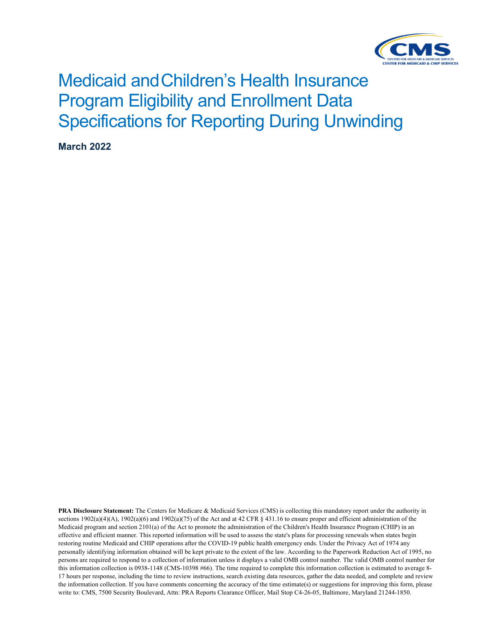

# <span id="page-0-0"></span>Medicaid andChildren's Health Insurance Program Eligibility and Enrollment Data Specifications for Reporting During Unwinding

**March 2022** 

**PRA Disclosure Statement:** The Centers for Medicare & Medicaid Services (CMS) is collecting this mandatory report under the authority in sections  $1902(a)(4)(A)$ ,  $1902(a)(6)$  and  $1902(a)(75)$  of the Act and at 42 CFR § 431.16 to ensure proper and efficient administration of the Medicaid program and section 2101(a) of the Act to promote the administration of the Children's Health Insurance Program (CHIP) in an effective and efficient manner. This reported information will be used to assess the state's plans for processing renewals when states begin restoring routine Medicaid and CHIP operations after the COVID-19 public health emergency ends. Under the Privacy Act of 1974 any personally identifying information obtained will be kept private to the extent of the law. According to the Paperwork Reduction Act of 1995, no persons are required to respond to a collection of information unless it displays a valid OMB control number. The valid OMB control number for this information collection is 0938-1148 (CMS-10398 #66). The time required to complete this information collection is estimated to average 8- 17 hours per response, including the time to review instructions, search existing data resources, gather the data needed, and complete and review the information collection. If you have comments concerning the accuracy of the time estimate(s) or suggestions for improving this form, please write to: CMS, 7500 Security Boulevard, Attn: PRA Reports Clearance Officer, Mail Stop C4-26-05, Baltimore, Maryland 21244-1850.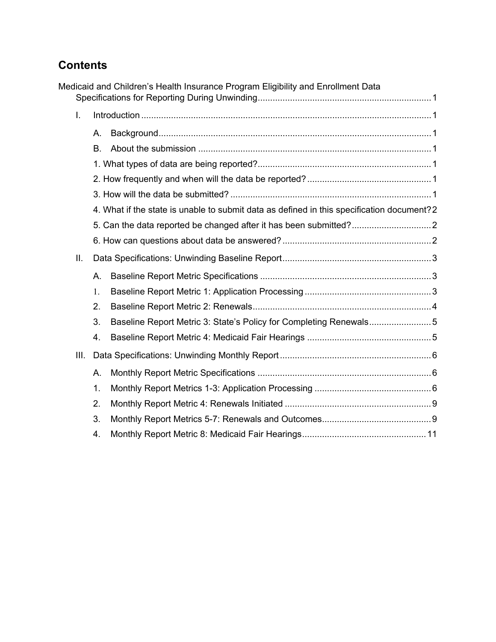## **Contents**

|      | Medicaid and Children's Health Insurance Program Eligibility and Enrollment Data           |  |
|------|--------------------------------------------------------------------------------------------|--|
| Ī.   |                                                                                            |  |
|      | Α.                                                                                         |  |
|      | B.                                                                                         |  |
|      |                                                                                            |  |
|      |                                                                                            |  |
|      |                                                                                            |  |
|      | 4. What if the state is unable to submit data as defined in this specification document? 2 |  |
|      |                                                                                            |  |
|      |                                                                                            |  |
| ΙΙ.  |                                                                                            |  |
|      | Α.                                                                                         |  |
|      | 1.                                                                                         |  |
|      | 2.                                                                                         |  |
|      | 3.<br>Baseline Report Metric 3: State's Policy for Completing Renewals5                    |  |
|      | 4.                                                                                         |  |
| III. |                                                                                            |  |
|      | A.                                                                                         |  |
|      | 1.                                                                                         |  |
|      | 2.                                                                                         |  |
|      | 3.                                                                                         |  |
|      | 4.                                                                                         |  |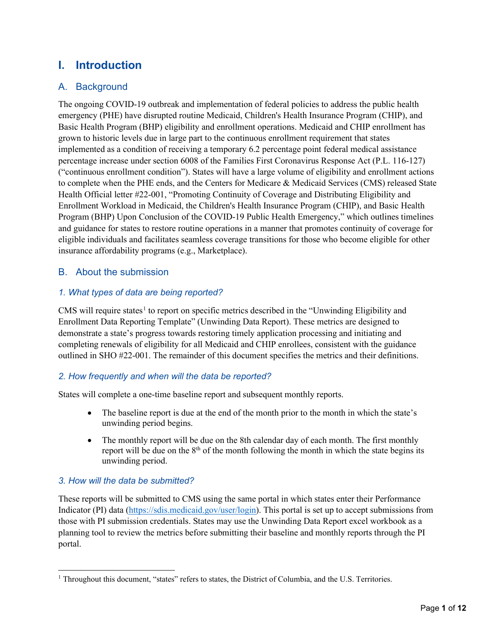## <span id="page-2-0"></span>**I. Introduction**

## A. Background

The ongoing COVID-19 outbreak and implementation of federal policies to address the public health emergency (PHE) have disrupted routine Medicaid, Children's Health Insurance Program (CHIP), and Basic Health Program (BHP) eligibility and enrollment operations. Medicaid and CHIP enrollment has grown to historic levels due in large part to the continuous enrollment requirement that states implemented as a condition of receiving a temporary 6.2 percentage point federal medical assistance percentage increase under section 6008 of the Families First Coronavirus Response Act (P.L. 116-127) ("continuous enrollment condition"). States will have a large volume of eligibility and enrollment actions to complete when the PHE ends, and the Centers for Medicare & Medicaid Services (CMS) released State Health Official letter #22-001, "Promoting Continuity of Coverage and Distributing Eligibility and Enrollment Workload in Medicaid, the Children's Health Insurance Program (CHIP), and Basic Health Program (BHP) Upon Conclusion of the COVID-19 Public Health Emergency," which outlines timelines and guidance for states to restore routine operations in a manner that promotes continuity of coverage for eligible individuals and facilitates seamless coverage transitions for those who become eligible for other insurance affordability programs (e.g., Marketplace).

## B. About the submission

## *1. What types of data are being reported?*

CMS will require states<sup>[1](#page-2-1)</sup> to report on specific metrics described in the "Unwinding Eligibility and Enrollment Data Reporting Template" (Unwinding Data Report). These metrics are designed to demonstrate a state's progress towards restoring timely application processing and initiating and completing renewals of eligibility for all Medicaid and CHIP enrollees, consistent with the guidance outlined in SHO #22-001. The remainder of this document specifies the metrics and their definitions.

### *2. How frequently and when will the data be reported?*

States will complete a one-time baseline report and subsequent monthly reports.

- The baseline report is due at the end of the month prior to the month in which the state's unwinding period begins.
- The monthly report will be due on the 8th calendar day of each month. The first monthly report will be due on the  $8<sup>th</sup>$  of the month following the month in which the state begins its unwinding period.

### *3. How will the data be submitted?*

These reports will be submitted to CMS using the same portal in which states enter their Performance Indicator (PI) data [\(https://sdis.medicaid.gov/user/login\)](https://sdis.medicaid.gov/user/login). This portal is set up to accept submissions from those with PI submission credentials. States may use the Unwinding Data Report excel workbook as a planning tool to review the metrics before submitting their baseline and monthly reports through the PI portal.

<span id="page-2-1"></span><sup>&</sup>lt;sup>1</sup> Throughout this document, "states" refers to states, the District of Columbia, and the U.S. Territories.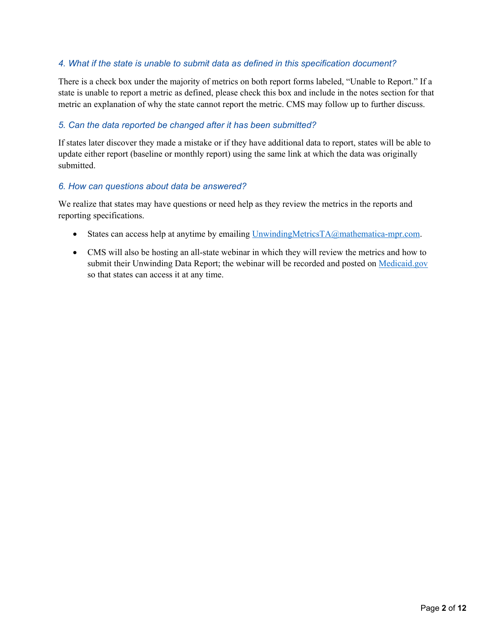#### <span id="page-3-0"></span>*4. What if the state is unable to submit data as defined in this specification document?*

There is a check box under the majority of metrics on both report forms labeled, "Unable to Report." If a state is unable to report a metric as defined, please check this box and include in the notes section for that metric an explanation of why the state cannot report the metric. CMS may follow up to further discuss.

#### <span id="page-3-1"></span>*5. Can the data reported be changed after it has been submitted?*

If states later discover they made a mistake or if they have additional data to report, states will be able to update either report (baseline or monthly report) using the same link at which the data was originally submitted.

#### <span id="page-3-2"></span>*6. How can questions about data be answered?*

We realize that states may have questions or need help as they review the metrics in the reports and reporting specifications.

- States can access help at anytime by emailing [UnwindingMetricsTA@mathematica-mpr.com.](mailto:UnwindingMetricsTA@mathematica-mpr.com)
- CMS will also be hosting an all-state webinar in which they will review the metrics and how to submit their Unwinding Data Report; the webinar will be recorded and posted on [Medicaid.gov](https://www.medicaid.gov/) so that states can access it at any time.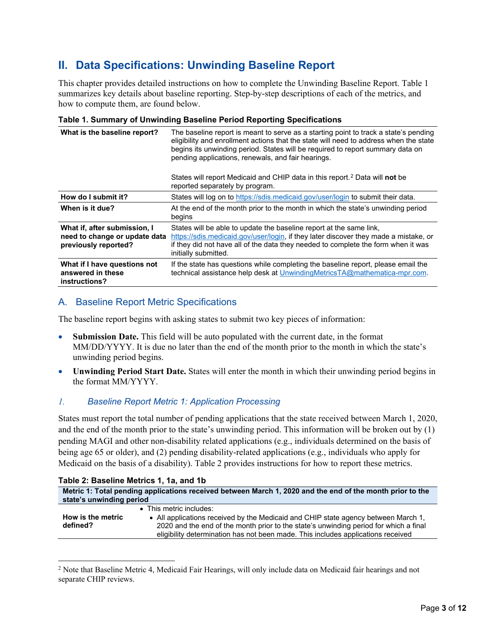## <span id="page-4-0"></span>**II. Data Specifications: Unwinding Baseline Report**

This chapter provides detailed instructions on how to complete the Unwinding Baseline Report. Table 1 summarizes key details about baseline reporting. Step-by-step descriptions of each of the metrics, and how to compute them, are found below.

| What is the baseline report?                                                          | The baseline report is meant to serve as a starting point to track a state's pending<br>eligibility and enrollment actions that the state will need to address when the state<br>begins its unwinding period. States will be required to report summary data on<br>pending applications, renewals, and fair hearings. |
|---------------------------------------------------------------------------------------|-----------------------------------------------------------------------------------------------------------------------------------------------------------------------------------------------------------------------------------------------------------------------------------------------------------------------|
|                                                                                       | States will report Medicaid and CHIP data in this report. <sup>2</sup> Data will <b>not</b> be<br>reported separately by program.                                                                                                                                                                                     |
| How do I submit it?                                                                   | States will log on to https://sdis.medicaid.gov/user/login to submit their data.                                                                                                                                                                                                                                      |
| When is it due?                                                                       | At the end of the month prior to the month in which the state's unwinding period<br>begins                                                                                                                                                                                                                            |
| What if, after submission, I<br>need to change or update data<br>previously reported? | States will be able to update the baseline report at the same link,<br>https://sdis.medicaid.gov/user/login, if they later discover they made a mistake, or<br>if they did not have all of the data they needed to complete the form when it was<br>initially submitted.                                              |
| What if I have questions not<br>answered in these<br>instructions?                    | If the state has questions while completing the baseline report, please email the<br>technical assistance help desk at UnwindingMetricsTA@mathematica-mpr.com.                                                                                                                                                        |

#### **Table 1. Summary of Unwinding Baseline Period Reporting Specifications**

## <span id="page-4-1"></span>A. Baseline Report Metric Specifications

The baseline report begins with asking states to submit two key pieces of information:

- **Submission Date.** This field will be auto populated with the current date, in the format MM/DD/YYYY. It is due no later than the end of the month prior to the month in which the state's unwinding period begins.
- **Unwinding Period Start Date.** States will enter the month in which their unwinding period begins in the format MM/YYYY.

### <span id="page-4-2"></span>*1. Baseline Report Metric 1: Application Processing*

States must report the total number of pending applications that the state received between March 1, 2020, and the end of the month prior to the state's unwinding period. This information will be broken out by (1) pending MAGI and other non-disability related applications (e.g., individuals determined on the basis of being age 65 or older), and (2) pending disability-related applications (e.g., individuals who apply for Medicaid on the basis of a disability). Table 2 provides instructions for how to report these metrics.

|                                                                                                           | Table 2: Baseline Metrics 1, 1a, and 1b                                                                                                                                                                                                                         |
|-----------------------------------------------------------------------------------------------------------|-----------------------------------------------------------------------------------------------------------------------------------------------------------------------------------------------------------------------------------------------------------------|
| Metric 1: Total pending applications received between March 1, 2020 and the end of the month prior to the |                                                                                                                                                                                                                                                                 |
| state's unwinding period                                                                                  |                                                                                                                                                                                                                                                                 |
|                                                                                                           | • This metric includes:                                                                                                                                                                                                                                         |
| How is the metric<br>defined?                                                                             | • All applications received by the Medicaid and CHIP state agency between March 1,<br>2020 and the end of the month prior to the state's unwinding period for which a final<br>eligibility determination has not been made. This includes applications received |

#### <span id="page-4-3"></span><sup>2</sup> Note that Baseline Metric 4, Medicaid Fair Hearings, will only include data on Medicaid fair hearings and not separate CHIP reviews.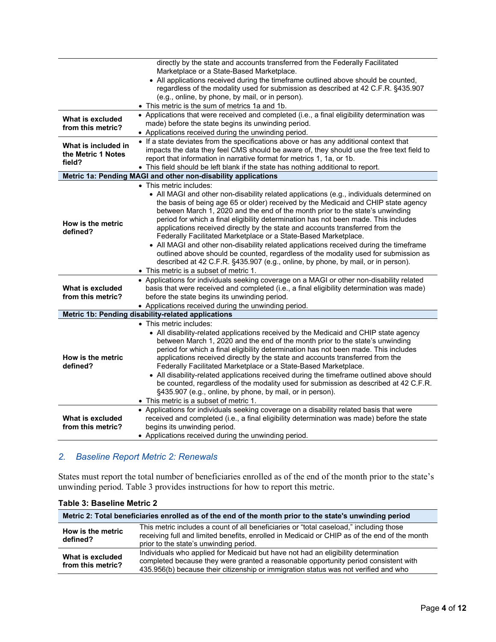|                                       | directly by the state and accounts transferred from the Federally Facilitated                                                                                       |
|---------------------------------------|---------------------------------------------------------------------------------------------------------------------------------------------------------------------|
|                                       | Marketplace or a State-Based Marketplace.<br>• All applications received during the timeframe outlined above should be counted,                                     |
|                                       | regardless of the modality used for submission as described at 42 C.F.R. §435.907                                                                                   |
|                                       | (e.g., online, by phone, by mail, or in person).                                                                                                                    |
|                                       | • This metric is the sum of metrics 1a and 1b.                                                                                                                      |
|                                       | • Applications that were received and completed (i.e., a final eligibility determination was                                                                        |
| What is excluded<br>from this metric? | made) before the state begins its unwinding period.                                                                                                                 |
|                                       | • Applications received during the unwinding period.                                                                                                                |
| What is included in                   | • If a state deviates from the specifications above or has any additional context that                                                                              |
| the Metric 1 Notes                    | impacts the data they feel CMS should be aware of, they should use the free text field to                                                                           |
| field?                                | report that information in narrative format for metrics 1, 1a, or 1b.                                                                                               |
|                                       | • This field should be left blank if the state has nothing additional to report.                                                                                    |
|                                       | Metric 1a: Pending MAGI and other non-disability applications                                                                                                       |
|                                       | • This metric includes:                                                                                                                                             |
|                                       | • All MAGI and other non-disability related applications (e.g., individuals determined on                                                                           |
|                                       | the basis of being age 65 or older) received by the Medicaid and CHIP state agency<br>between March 1, 2020 and the end of the month prior to the state's unwinding |
|                                       | period for which a final eligibility determination has not been made. This includes                                                                                 |
| How is the metric                     | applications received directly by the state and accounts transferred from the                                                                                       |
| defined?                              | Federally Facilitated Marketplace or a State-Based Marketplace.                                                                                                     |
|                                       | • All MAGI and other non-disability related applications received during the timeframe                                                                              |
|                                       | outlined above should be counted, regardless of the modality used for submission as                                                                                 |
|                                       | described at 42 C.F.R. §435.907 (e.g., online, by phone, by mail, or in person).                                                                                    |
|                                       | • This metric is a subset of metric 1.                                                                                                                              |
|                                       | • Applications for individuals seeking coverage on a MAGI or other non-disability related                                                                           |
| What is excluded                      | basis that were received and completed (i.e., a final eligibility determination was made)                                                                           |
| from this metric?                     | before the state begins its unwinding period.                                                                                                                       |
|                                       | • Applications received during the unwinding period.                                                                                                                |
|                                       | Metric 1b: Pending disability-related applications                                                                                                                  |
|                                       | • This metric includes:                                                                                                                                             |
|                                       | • All disability-related applications received by the Medicaid and CHIP state agency                                                                                |
|                                       | between March 1, 2020 and the end of the month prior to the state's unwinding                                                                                       |
|                                       | period for which a final eligibility determination has not been made. This includes                                                                                 |
| How is the metric<br>defined?         | applications received directly by the state and accounts transferred from the<br>Federally Facilitated Marketplace or a State-Based Marketplace.                    |
|                                       | • All disability-related applications received during the timeframe outlined above should                                                                           |
|                                       | be counted, regardless of the modality used for submission as described at 42 C.F.R.                                                                                |
|                                       | §435.907 (e.g., online, by phone, by mail, or in person).                                                                                                           |
|                                       | • This metric is a subset of metric 1.                                                                                                                              |
|                                       | • Applications for individuals seeking coverage on a disability related basis that were                                                                             |
| What is excluded                      | received and completed (i.e., a final eligibility determination was made) before the state                                                                          |
| from this metric?                     | begins its unwinding period.                                                                                                                                        |
|                                       | • Applications received during the unwinding period.                                                                                                                |
|                                       |                                                                                                                                                                     |

## <span id="page-5-0"></span>*2. Baseline Report Metric 2: Renewals*

States must report the total number of beneficiaries enrolled as of the end of the month prior to the state's unwinding period. Table 3 provides instructions for how to report this metric.

| Metric 2: Total beneficiaries enrolled as of the end of the month prior to the state's unwinding period |                                                                                                                                                                                                                                                                  |
|---------------------------------------------------------------------------------------------------------|------------------------------------------------------------------------------------------------------------------------------------------------------------------------------------------------------------------------------------------------------------------|
| How is the metric<br>defined?                                                                           | This metric includes a count of all beneficiaries or "total caseload," including those<br>receiving full and limited benefits, enrolled in Medicaid or CHIP as of the end of the month<br>prior to the state's unwinding period.                                 |
| What is excluded<br>from this metric?                                                                   | Individuals who applied for Medicaid but have not had an eligibility determination<br>completed because they were granted a reasonable opportunity period consistent with<br>435.956(b) because their citizenship or immigration status was not verified and who |

#### **Table 3: Baseline Metric 2**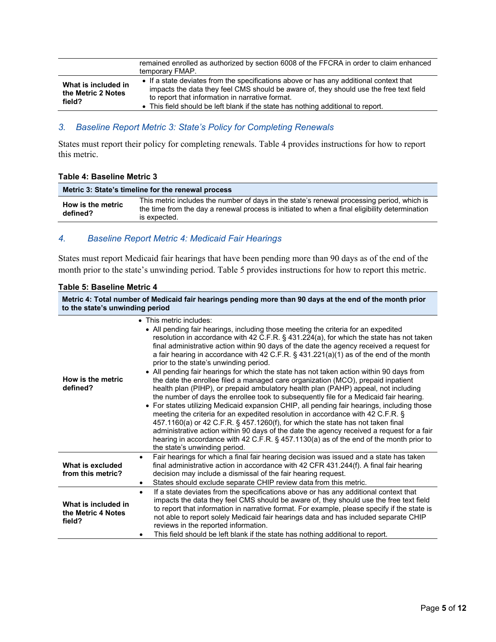|                                                     | remained enrolled as authorized by section 6008 of the FFCRA in order to claim enhanced<br>temporary FMAP.                                                                                                                                                                                                              |
|-----------------------------------------------------|-------------------------------------------------------------------------------------------------------------------------------------------------------------------------------------------------------------------------------------------------------------------------------------------------------------------------|
| What is included in<br>the Metric 2 Notes<br>field? | • If a state deviates from the specifications above or has any additional context that<br>impacts the data they feel CMS should be aware of, they should use the free text field<br>to report that information in narrative format.<br>• This field should be left blank if the state has nothing additional to report. |

## <span id="page-6-0"></span>*3. Baseline Report Metric 3: State's Policy for Completing Renewals*

States must report their policy for completing renewals. Table 4 provides instructions for how to report this metric.

#### **Table 4: Baseline Metric 3**

| Metric 3: State's timeline for the renewal process |                                                                                                                                                                                                              |
|----------------------------------------------------|--------------------------------------------------------------------------------------------------------------------------------------------------------------------------------------------------------------|
| How is the metric<br>defined?                      | This metric includes the number of days in the state's renewal processing period, which is<br>the time from the day a renewal process is initiated to when a final eligibility determination<br>is expected. |

#### <span id="page-6-1"></span>*4. Baseline Report Metric 4: Medicaid Fair Hearings*

States must report Medicaid fair hearings that have been pending more than 90 days as of the end of the month prior to the state's unwinding period. Table 5 provides instructions for how to report this metric.

#### **Table 5: Baseline Metric 4**

| Metric 4: Total number of Medicaid fair hearings pending more than 90 days at the end of the month prior<br>to the state's unwinding period |                                                                                                                                                                                                                                                                                                                                                                                                                                                                                                                                                                                                                                                                                                                                                                                                                                                                                                                                                                                                                                                                                                                                                                                                                                                                                                      |
|---------------------------------------------------------------------------------------------------------------------------------------------|------------------------------------------------------------------------------------------------------------------------------------------------------------------------------------------------------------------------------------------------------------------------------------------------------------------------------------------------------------------------------------------------------------------------------------------------------------------------------------------------------------------------------------------------------------------------------------------------------------------------------------------------------------------------------------------------------------------------------------------------------------------------------------------------------------------------------------------------------------------------------------------------------------------------------------------------------------------------------------------------------------------------------------------------------------------------------------------------------------------------------------------------------------------------------------------------------------------------------------------------------------------------------------------------------|
| How is the metric<br>defined?                                                                                                               | • This metric includes:<br>• All pending fair hearings, including those meeting the criteria for an expedited<br>resolution in accordance with 42 C.F.R. § 431.224(a), for which the state has not taken<br>final administrative action within 90 days of the date the agency received a request for<br>a fair hearing in accordance with 42 C.F.R. § 431.221(a)(1) as of the end of the month<br>prior to the state's unwinding period.<br>• All pending fair hearings for which the state has not taken action within 90 days from<br>the date the enrollee filed a managed care organization (MCO), prepaid inpatient<br>health plan (PIHP), or prepaid ambulatory health plan (PAHP) appeal, not including<br>the number of days the enrollee took to subsequently file for a Medicaid fair hearing.<br>• For states utilizing Medicaid expansion CHIP, all pending fair hearings, including those<br>meeting the criteria for an expedited resolution in accordance with 42 C.F.R. §<br>457.1160(a) or 42 C.F.R. § 457.1260(f), for which the state has not taken final<br>administrative action within 90 days of the date the agency received a request for a fair<br>hearing in accordance with 42 C.F.R. § 457.1130(a) as of the end of the month prior to<br>the state's unwinding period. |
| What is excluded<br>from this metric?                                                                                                       | Fair hearings for which a final fair hearing decision was issued and a state has taken<br>$\bullet$<br>final administrative action in accordance with 42 CFR 431.244(f). A final fair hearing<br>decision may include a dismissal of the fair hearing request.<br>States should exclude separate CHIP review data from this metric.<br>$\bullet$                                                                                                                                                                                                                                                                                                                                                                                                                                                                                                                                                                                                                                                                                                                                                                                                                                                                                                                                                     |
| What is included in<br>the Metric 4 Notes<br>field?                                                                                         | If a state deviates from the specifications above or has any additional context that<br>$\bullet$<br>impacts the data they feel CMS should be aware of, they should use the free text field<br>to report that information in narrative format. For example, please specify if the state is<br>not able to report solely Medicaid fair hearings data and has included separate CHIP<br>reviews in the reported information.<br>This field should be left blank if the state has nothing additional to report.<br>$\bullet$                                                                                                                                                                                                                                                                                                                                                                                                                                                                                                                                                                                                                                                                                                                                                                            |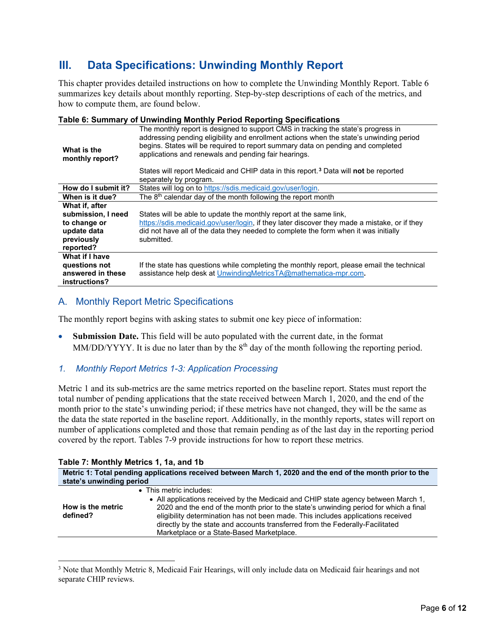## <span id="page-7-0"></span>**III. Data Specifications: Unwinding Monthly Report**

This chapter provides detailed instructions on how to complete the Unwinding Monthly Report. Table 6 summarizes key details about monthly reporting. Step-by-step descriptions of each of the metrics, and how to compute them, are found below.

| What is the<br>monthly report?     | The monthly report is designed to support CMS in tracking the state's progress in<br>addressing pending eligibility and enrollment actions when the state's unwinding period<br>begins. States will be required to report summary data on pending and completed<br>applications and renewals and pending fair hearings. |
|------------------------------------|-------------------------------------------------------------------------------------------------------------------------------------------------------------------------------------------------------------------------------------------------------------------------------------------------------------------------|
|                                    | States will report Medicaid and CHIP data in this report. <sup>3</sup> Data will <b>not</b> be reported                                                                                                                                                                                                                 |
|                                    | separately by program.                                                                                                                                                                                                                                                                                                  |
| How do I submit it?                | States will log on to https://sdis.medicaid.gov/user/login.                                                                                                                                                                                                                                                             |
| When is it due?                    | The $8th$ calendar day of the month following the report month                                                                                                                                                                                                                                                          |
| What if, after                     |                                                                                                                                                                                                                                                                                                                         |
| submission, I need                 | States will be able to update the monthly report at the same link,                                                                                                                                                                                                                                                      |
| to change or                       | https://sdis.medicaid.gov/user/login, if they later discover they made a mistake, or if they                                                                                                                                                                                                                            |
| update data                        | did not have all of the data they needed to complete the form when it was initially                                                                                                                                                                                                                                     |
| previously                         | submitted.                                                                                                                                                                                                                                                                                                              |
| reported?                          |                                                                                                                                                                                                                                                                                                                         |
| What if I have                     |                                                                                                                                                                                                                                                                                                                         |
| questions not                      | If the state has questions while completing the monthly report, please email the technical                                                                                                                                                                                                                              |
| answered in these<br>instructions? | assistance help desk at UnwindingMetricsTA@mathematica-mpr.com.                                                                                                                                                                                                                                                         |

#### **Table 6: Summary of Unwinding Monthly Period Reporting Specifications**

## <span id="page-7-1"></span>A. Monthly Report Metric Specifications

The monthly report begins with asking states to submit one key piece of information:

• **Submission Date.** This field will be auto populated with the current date, in the format MM/DD/YYYY. It is due no later than by the  $8<sup>th</sup>$  day of the month following the reporting period.

#### <span id="page-7-2"></span>*1. Monthly Report Metrics 1-3: Application Processing*

Metric 1 and its sub-metrics are the same metrics reported on the baseline report. States must report the total number of pending applications that the state received between March 1, 2020, and the end of the month prior to the state's unwinding period; if these metrics have not changed, they will be the same as the data the state reported in the baseline report. Additionally, in the monthly reports, states will report on number of applications completed and those that remain pending as of the last day in the reporting period covered by the report. Tables 7-9 provide instructions for how to report these metrics.

#### **Table 7: Monthly Metrics 1, 1a, and 1b**

| Metric 1: Total pending applications received between March 1, 2020 and the end of the month prior to the<br>state's unwinding period |                                                                                                                                                                                                                                                                                                                                                                                                                          |
|---------------------------------------------------------------------------------------------------------------------------------------|--------------------------------------------------------------------------------------------------------------------------------------------------------------------------------------------------------------------------------------------------------------------------------------------------------------------------------------------------------------------------------------------------------------------------|
| How is the metric<br>defined?                                                                                                         | • This metric includes:<br>• All applications received by the Medicaid and CHIP state agency between March 1,<br>2020 and the end of the month prior to the state's unwinding period for which a final<br>eligibility determination has not been made. This includes applications received<br>directly by the state and accounts transferred from the Federally-Facilitated<br>Marketplace or a State-Based Marketplace. |

<span id="page-7-3"></span><sup>3</sup> Note that Monthly Metric 8, Medicaid Fair Hearings, will only include data on Medicaid fair hearings and not separate CHIP reviews.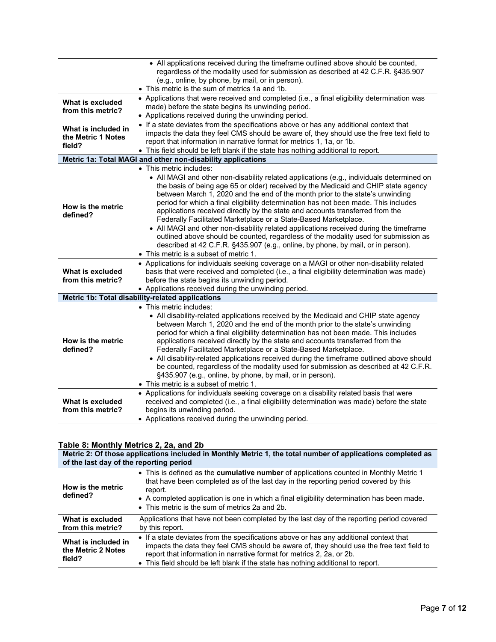| What is excluded<br>from this metric?               | • All applications received during the timeframe outlined above should be counted,<br>regardless of the modality used for submission as described at 42 C.F.R. §435.907<br>(e.g., online, by phone, by mail, or in person).<br>• This metric is the sum of metrics 1a and 1b.<br>• Applications that were received and completed (i.e., a final eligibility determination was<br>made) before the state begins its unwinding period.<br>• Applications received during the unwinding period.                                                                                                                                                                                                                                                                                                                                                          |
|-----------------------------------------------------|-------------------------------------------------------------------------------------------------------------------------------------------------------------------------------------------------------------------------------------------------------------------------------------------------------------------------------------------------------------------------------------------------------------------------------------------------------------------------------------------------------------------------------------------------------------------------------------------------------------------------------------------------------------------------------------------------------------------------------------------------------------------------------------------------------------------------------------------------------|
| What is included in<br>the Metric 1 Notes<br>field? | • If a state deviates from the specifications above or has any additional context that<br>impacts the data they feel CMS should be aware of, they should use the free text field to<br>report that information in narrative format for metrics 1, 1a, or 1b.<br>• This field should be left blank if the state has nothing additional to report.<br>Metric 1a: Total MAGI and other non-disability applications                                                                                                                                                                                                                                                                                                                                                                                                                                       |
| How is the metric<br>defined?                       | • This metric includes:<br>• All MAGI and other non-disability related applications (e.g., individuals determined on<br>the basis of being age 65 or older) received by the Medicaid and CHIP state agency<br>between March 1, 2020 and the end of the month prior to the state's unwinding<br>period for which a final eligibility determination has not been made. This includes<br>applications received directly by the state and accounts transferred from the<br>Federally Facilitated Marketplace or a State-Based Marketplace.<br>• All MAGI and other non-disability related applications received during the timeframe<br>outlined above should be counted, regardless of the modality used for submission as<br>described at 42 C.F.R. §435.907 (e.g., online, by phone, by mail, or in person).<br>• This metric is a subset of metric 1. |
| What is excluded<br>from this metric?               | • Applications for individuals seeking coverage on a MAGI or other non-disability related<br>basis that were received and completed (i.e., a final eligibility determination was made)<br>before the state begins its unwinding period.<br>• Applications received during the unwinding period.                                                                                                                                                                                                                                                                                                                                                                                                                                                                                                                                                       |
|                                                     | Metric 1b: Total disability-related applications                                                                                                                                                                                                                                                                                                                                                                                                                                                                                                                                                                                                                                                                                                                                                                                                      |
| How is the metric<br>defined?                       | • This metric includes:<br>• All disability-related applications received by the Medicaid and CHIP state agency<br>between March 1, 2020 and the end of the month prior to the state's unwinding<br>period for which a final eligibility determination has not been made. This includes<br>applications received directly by the state and accounts transferred from the<br>Federally Facilitated Marketplace or a State-Based Marketplace.<br>• All disability-related applications received during the timeframe outlined above should<br>be counted, regardless of the modality used for submission as described at 42 C.F.R.<br>§435.907 (e.g., online, by phone, by mail, or in person).<br>• This metric is a subset of metric 1.                                                                                                               |
| What is excluded<br>from this metric?               | • Applications for individuals seeking coverage on a disability related basis that were<br>received and completed (i.e., a final eligibility determination was made) before the state<br>begins its unwinding period.<br>• Applications received during the unwinding period.                                                                                                                                                                                                                                                                                                                                                                                                                                                                                                                                                                         |

#### **Table 8: Monthly Metrics 2, 2a, and 2b**

| Metric 2: Of those applications included in Monthly Metric 1, the total number of applications completed as<br>of the last day of the reporting period |                                                                                                                                                                                                                                                                                                                                                  |
|--------------------------------------------------------------------------------------------------------------------------------------------------------|--------------------------------------------------------------------------------------------------------------------------------------------------------------------------------------------------------------------------------------------------------------------------------------------------------------------------------------------------|
| How is the metric<br>defined?                                                                                                                          | • This is defined as the cumulative number of applications counted in Monthly Metric 1<br>that have been completed as of the last day in the reporting period covered by this<br>report.<br>• A completed application is one in which a final eligibility determination has been made.<br>• This metric is the sum of metrics 2a and 2b.         |
| What is excluded<br>from this metric?                                                                                                                  | Applications that have not been completed by the last day of the reporting period covered<br>by this report.                                                                                                                                                                                                                                     |
| What is included in<br>the Metric 2 Notes<br>field?                                                                                                    | • If a state deviates from the specifications above or has any additional context that<br>impacts the data they feel CMS should be aware of, they should use the free text field to<br>report that information in narrative format for metrics 2, 2a, or 2b.<br>• This field should be left blank if the state has nothing additional to report. |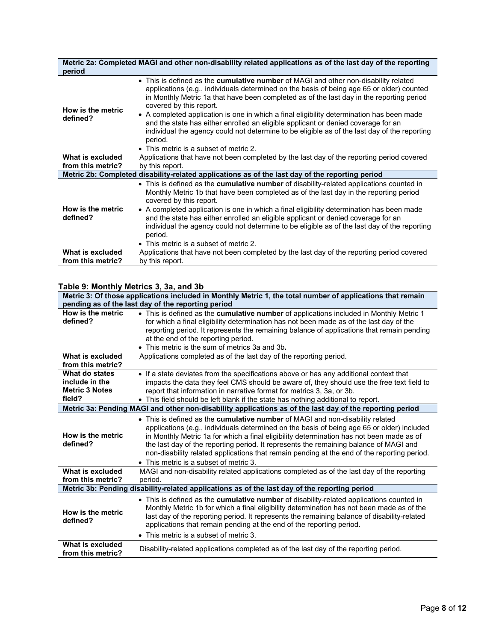| period                                | Metric 2a: Completed MAGI and other non-disability related applications as of the last day of the reporting                                                                                                                                                                                                                                                                                                                                                                                                                                                                                                                                       |
|---------------------------------------|---------------------------------------------------------------------------------------------------------------------------------------------------------------------------------------------------------------------------------------------------------------------------------------------------------------------------------------------------------------------------------------------------------------------------------------------------------------------------------------------------------------------------------------------------------------------------------------------------------------------------------------------------|
| How is the metric<br>defined?         | • This is defined as the cumulative number of MAGI and other non-disability related<br>applications (e.g., individuals determined on the basis of being age 65 or older) counted<br>in Monthly Metric 1a that have been completed as of the last day in the reporting period<br>covered by this report.<br>• A completed application is one in which a final eligibility determination has been made<br>and the state has either enrolled an eligible applicant or denied coverage for an<br>individual the agency could not determine to be eligible as of the last day of the reporting<br>period.<br>• This metric is a subset of metric $2$ . |
| What is excluded                      | Applications that have not been completed by the last day of the reporting period covered                                                                                                                                                                                                                                                                                                                                                                                                                                                                                                                                                         |
| from this metric?                     | by this report.                                                                                                                                                                                                                                                                                                                                                                                                                                                                                                                                                                                                                                   |
|                                       | Metric 2b: Completed disability-related applications as of the last day of the reporting period                                                                                                                                                                                                                                                                                                                                                                                                                                                                                                                                                   |
| How is the metric<br>defined?         | • This is defined as the cumulative number of disability-related applications counted in<br>Monthly Metric 1b that have been completed as of the last day in the reporting period<br>covered by this report.<br>• A completed application is one in which a final eligibility determination has been made<br>and the state has either enrolled an eligible applicant or denied coverage for an                                                                                                                                                                                                                                                    |
|                                       | individual the agency could not determine to be eligible as of the last day of the reporting<br>period.<br>• This metric is a subset of metric $2$ .                                                                                                                                                                                                                                                                                                                                                                                                                                                                                              |
| What is excluded<br>from this metric? | Applications that have not been completed by the last day of the reporting period covered<br>by this report.                                                                                                                                                                                                                                                                                                                                                                                                                                                                                                                                      |

## **Table 9: Monthly Metrics 3, 3a, and 3b**

| Metric 3: Of those applications included in Monthly Metric 1, the total number of applications that remain |                                                                                                                                                                                                                                                                                                                                                                                                                                                                                                                   |
|------------------------------------------------------------------------------------------------------------|-------------------------------------------------------------------------------------------------------------------------------------------------------------------------------------------------------------------------------------------------------------------------------------------------------------------------------------------------------------------------------------------------------------------------------------------------------------------------------------------------------------------|
| pending as of the last day of the reporting period                                                         |                                                                                                                                                                                                                                                                                                                                                                                                                                                                                                                   |
| How is the metric<br>defined?                                                                              | • This is defined as the cumulative number of applications included in Monthly Metric 1<br>for which a final eligibility determination has not been made as of the last day of the<br>reporting period. It represents the remaining balance of applications that remain pending<br>at the end of the reporting period.<br>• This metric is the sum of metrics 3a and 3b.                                                                                                                                          |
| What is excluded<br>from this metric?                                                                      | Applications completed as of the last day of the reporting period.                                                                                                                                                                                                                                                                                                                                                                                                                                                |
| What do states<br>include in the<br><b>Metric 3 Notes</b><br>field?                                        | • If a state deviates from the specifications above or has any additional context that<br>impacts the data they feel CMS should be aware of, they should use the free text field to<br>report that information in narrative format for metrics 3, 3a, or 3b.<br>• This field should be left blank if the state has nothing additional to report.                                                                                                                                                                  |
|                                                                                                            | Metric 3a: Pending MAGI and other non-disability applications as of the last day of the reporting period                                                                                                                                                                                                                                                                                                                                                                                                          |
| How is the metric<br>defined?                                                                              | • This is defined as the cumulative number of MAGI and non-disability related<br>applications (e.g., individuals determined on the basis of being age 65 or older) included<br>in Monthly Metric 1a for which a final eligibility determination has not been made as of<br>the last day of the reporting period. It represents the remaining balance of MAGI and<br>non-disability related applications that remain pending at the end of the reporting period.<br>$\bullet$ This metric is a subset of metric 3. |
| What is excluded<br>from this metric?                                                                      | MAGI and non-disability related applications completed as of the last day of the reporting<br>period.                                                                                                                                                                                                                                                                                                                                                                                                             |
|                                                                                                            | Metric 3b: Pending disability-related applications as of the last day of the reporting period                                                                                                                                                                                                                                                                                                                                                                                                                     |
| How is the metric<br>defined?                                                                              | • This is defined as the cumulative number of disability-related applications counted in<br>Monthly Metric 1b for which a final eligibility determination has not been made as of the<br>last day of the reporting period. It represents the remaining balance of disability-related<br>applications that remain pending at the end of the reporting period.<br>• This metric is a subset of metric 3.                                                                                                            |
| What is excluded<br>from this metric?                                                                      | Disability-related applications completed as of the last day of the reporting period.                                                                                                                                                                                                                                                                                                                                                                                                                             |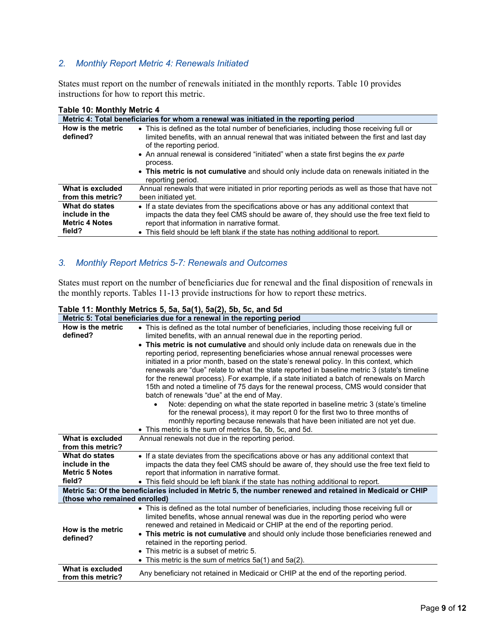## <span id="page-10-0"></span>*2. Monthly Report Metric 4: Renewals Initiated*

States must report on the number of renewals initiated in the monthly reports. Table 10 provides instructions for how to report this metric.

| $1000$ TV. MONGING WIGHTS $\tau$                                                       |                                                                                                                                                                                                                                                                                                                         |
|----------------------------------------------------------------------------------------|-------------------------------------------------------------------------------------------------------------------------------------------------------------------------------------------------------------------------------------------------------------------------------------------------------------------------|
| Metric 4: Total beneficiaries for whom a renewal was initiated in the reporting period |                                                                                                                                                                                                                                                                                                                         |
| How is the metric<br>defined?                                                          | • This is defined as the total number of beneficiaries, including those receiving full or<br>limited benefits, with an annual renewal that was initiated between the first and last day<br>of the reporting period.<br>• An annual renewal is considered "initiated" when a state first begins the ex parte<br>process. |
|                                                                                        | • This metric is not cumulative and should only include data on renewals initiated in the<br>reporting period.                                                                                                                                                                                                          |
| What is excluded<br>from this metric?                                                  | Annual renewals that were initiated in prior reporting periods as well as those that have not<br>been initiated yet.                                                                                                                                                                                                    |
| What do states<br>include in the<br><b>Metric 4 Notes</b><br>field?                    | • If a state deviates from the specifications above or has any additional context that<br>impacts the data they feel CMS should be aware of, they should use the free text field to<br>report that information in narrative format.<br>• This field should be left blank if the state has nothing additional to report. |

## **Table 10: Monthly Metric 4**

### *3. Monthly Report Metrics 5-7: Renewals and Outcomes*

States must report on the number of beneficiaries due for renewal and the final disposition of renewals in the monthly reports. Tables 11-13 provide instructions for how to report these metrics.

## **Table 11: Monthly Metrics 5, 5a, 5a(1), 5a(2), 5b, 5c, and 5d**

| Metric 5: Total beneficiaries due for a renewal in the reporting period |                                                                                                           |
|-------------------------------------------------------------------------|-----------------------------------------------------------------------------------------------------------|
| How is the metric                                                       | • This is defined as the total number of beneficiaries, including those receiving full or                 |
| defined?                                                                | limited benefits, with an annual renewal due in the reporting period.                                     |
|                                                                         | . This metric is not cumulative and should only include data on renewals due in the                       |
|                                                                         | reporting period, representing beneficiaries whose annual renewal processes were                          |
|                                                                         | initiated in a prior month, based on the state's renewal policy. In this context, which                   |
|                                                                         | renewals are "due" relate to what the state reported in baseline metric 3 (state's timeline               |
|                                                                         | for the renewal process). For example, if a state initiated a batch of renewals on March                  |
|                                                                         | 15th and noted a timeline of 75 days for the renewal process, CMS would consider that                     |
|                                                                         | batch of renewals "due" at the end of May.                                                                |
|                                                                         | Note: depending on what the state reported in baseline metric 3 (state's timeline                         |
|                                                                         | for the renewal process), it may report 0 for the first two to three months of                            |
|                                                                         | monthly reporting because renewals that have been initiated are not yet due.                              |
|                                                                         | • This metric is the sum of metrics 5a, 5b, 5c, and 5d.                                                   |
| What is excluded                                                        | Annual renewals not due in the reporting period.                                                          |
| from this metric?                                                       |                                                                                                           |
| What do states                                                          | • If a state deviates from the specifications above or has any additional context that                    |
| include in the                                                          | impacts the data they feel CMS should be aware of, they should use the free text field to                 |
| <b>Metric 5 Notes</b>                                                   | report that information in narrative format.                                                              |
| field?                                                                  | • This field should be left blank if the state has nothing additional to report.                          |
|                                                                         | Metric 5a: Of the beneficiaries included in Metric 5, the number renewed and retained in Medicaid or CHIP |
| (those who remained enrolled)                                           |                                                                                                           |
|                                                                         | • This is defined as the total number of beneficiaries, including those receiving full or                 |
|                                                                         | limited benefits, whose annual renewal was due in the reporting period who were                           |
| How is the metric                                                       | renewed and retained in Medicaid or CHIP at the end of the reporting period.                              |
| defined?                                                                | • This metric is not cumulative and should only include those beneficiaries renewed and                   |
|                                                                         | retained in the reporting period.                                                                         |
|                                                                         | • This metric is a subset of metric 5.                                                                    |
|                                                                         | • This metric is the sum of metrics $5a(1)$ and $5a(2)$ .                                                 |
| What is excluded                                                        | Any beneficiary not retained in Medicaid or CHIP at the end of the reporting period.                      |
| from this metric?                                                       |                                                                                                           |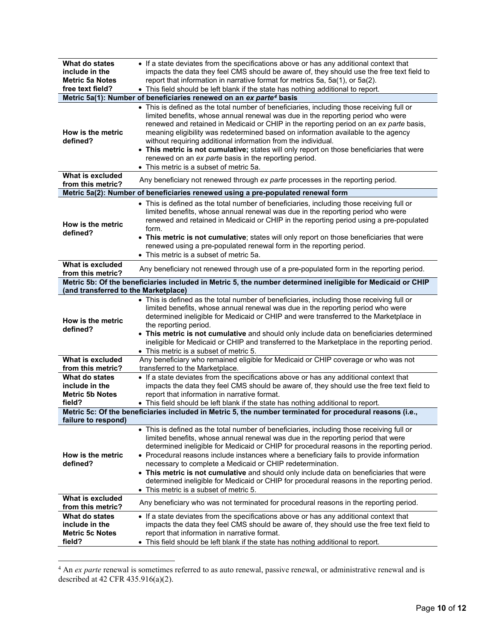| What do states<br>include in the<br><b>Metric 5a Notes</b><br>free text field? | • If a state deviates from the specifications above or has any additional context that<br>impacts the data they feel CMS should be aware of, they should use the free text field to<br>report that information in narrative format for metrics 5a, 5a(1), or 5a(2).<br>• This field should be left blank if the state has nothing additional to report.<br>Metric 5a(1): Number of beneficiaries renewed on an ex parte <sup>4</sup> basis                                                                                                                                                                                                                             |
|--------------------------------------------------------------------------------|------------------------------------------------------------------------------------------------------------------------------------------------------------------------------------------------------------------------------------------------------------------------------------------------------------------------------------------------------------------------------------------------------------------------------------------------------------------------------------------------------------------------------------------------------------------------------------------------------------------------------------------------------------------------|
|                                                                                | • This is defined as the total number of beneficiaries, including those receiving full or                                                                                                                                                                                                                                                                                                                                                                                                                                                                                                                                                                              |
| How is the metric<br>defined?                                                  | limited benefits, whose annual renewal was due in the reporting period who were<br>renewed and retained in Medicaid or CHIP in the reporting period on an ex parte basis,<br>meaning eligibility was redetermined based on information available to the agency<br>without requiring additional information from the individual.<br>• This metric is not cumulative; states will only report on those beneficiaries that were<br>renewed on an ex parte basis in the reporting period.<br>• This metric is a subset of metric 5a.                                                                                                                                       |
| What is excluded<br>from this metric?                                          | Any beneficiary not renewed through ex parte processes in the reporting period.                                                                                                                                                                                                                                                                                                                                                                                                                                                                                                                                                                                        |
|                                                                                | Metric 5a(2): Number of beneficiaries renewed using a pre-populated renewal form                                                                                                                                                                                                                                                                                                                                                                                                                                                                                                                                                                                       |
| How is the metric<br>defined?                                                  | • This is defined as the total number of beneficiaries, including those receiving full or<br>limited benefits, whose annual renewal was due in the reporting period who were<br>renewed and retained in Medicaid or CHIP in the reporting period using a pre-populated<br>form.<br>• This metric is not cumulative; states will only report on those beneficiaries that were<br>renewed using a pre-populated renewal form in the reporting period.<br>• This metric is a subset of metric 5a.                                                                                                                                                                         |
| What is excluded                                                               | Any beneficiary not renewed through use of a pre-populated form in the reporting period.                                                                                                                                                                                                                                                                                                                                                                                                                                                                                                                                                                               |
| from this metric?                                                              | Metric 5b: Of the beneficiaries included in Metric 5, the number determined ineligible for Medicaid or CHIP                                                                                                                                                                                                                                                                                                                                                                                                                                                                                                                                                            |
| (and transferred to the Marketplace)                                           |                                                                                                                                                                                                                                                                                                                                                                                                                                                                                                                                                                                                                                                                        |
| How is the metric<br>defined?                                                  | • This is defined as the total number of beneficiaries, including those receiving full or<br>limited benefits, whose annual renewal was due in the reporting period who were<br>determined ineligible for Medicaid or CHIP and were transferred to the Marketplace in<br>the reporting period.<br>. This metric is not cumulative and should only include data on beneficiaries determined<br>ineligible for Medicaid or CHIP and transferred to the Marketplace in the reporting period.<br>• This metric is a subset of metric 5.                                                                                                                                    |
| What is excluded<br>from this metric?                                          | Any beneficiary who remained eligible for Medicaid or CHIP coverage or who was not<br>transferred to the Marketplace.                                                                                                                                                                                                                                                                                                                                                                                                                                                                                                                                                  |
| What do states<br>include in the<br><b>Metric 5b Notes</b><br>field?           | • If a state deviates from the specifications above or has any additional context that<br>impacts the data they feel CMS should be aware of, they should use the free text field to<br>report that information in narrative format.<br>• This field should be left blank if the state has nothing additional to report.                                                                                                                                                                                                                                                                                                                                                |
| failure to respond)                                                            | Metric 5c: Of the beneficiaries included in Metric 5, the number terminated for procedural reasons (i.e.,                                                                                                                                                                                                                                                                                                                                                                                                                                                                                                                                                              |
| How is the metric<br>defined?                                                  | • This is defined as the total number of beneficiaries, including those receiving full or<br>limited benefits, whose annual renewal was due in the reporting period that were<br>determined ineligible for Medicaid or CHIP for procedural reasons in the reporting period.<br>• Procedural reasons include instances where a beneficiary fails to provide information<br>necessary to complete a Medicaid or CHIP redetermination.<br>. This metric is not cumulative and should only include data on beneficiaries that were<br>determined ineligible for Medicaid or CHIP for procedural reasons in the reporting period.<br>• This metric is a subset of metric 5. |
| What is excluded<br>from this metric?                                          | Any beneficiary who was not terminated for procedural reasons in the reporting period.                                                                                                                                                                                                                                                                                                                                                                                                                                                                                                                                                                                 |
| What do states<br>include in the<br><b>Metric 5c Notes</b><br>field?           | • If a state deviates from the specifications above or has any additional context that<br>impacts the data they feel CMS should be aware of, they should use the free text field to<br>report that information in narrative format.<br>• This field should be left blank if the state has nothing additional to report.                                                                                                                                                                                                                                                                                                                                                |

<span id="page-11-0"></span><sup>&</sup>lt;sup>4</sup> An *ex parte* renewal is sometimes referred to as auto renewal, passive renewal, or administrative renewal and is described at 42 CFR 435.916(a)(2).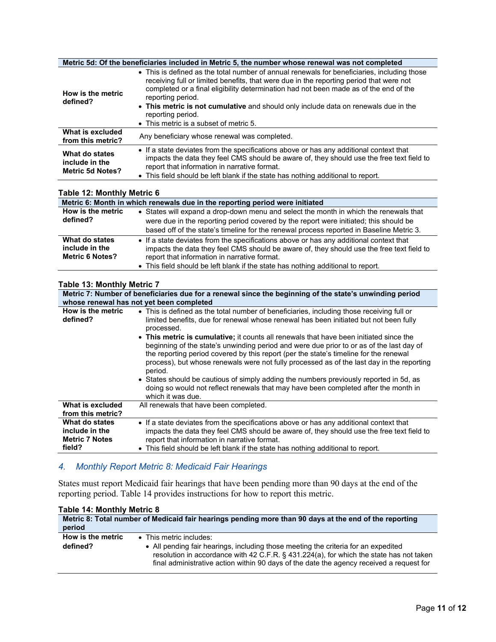<span id="page-12-0"></span>

| Metric 5d: Of the beneficiaries included in Metric 5, the number whose renewal was not completed |                                                                                                                                                                                                                                                                                                                                                                                                                                                            |
|--------------------------------------------------------------------------------------------------|------------------------------------------------------------------------------------------------------------------------------------------------------------------------------------------------------------------------------------------------------------------------------------------------------------------------------------------------------------------------------------------------------------------------------------------------------------|
| How is the metric<br>defined?                                                                    | • This is defined as the total number of annual renewals for beneficiaries, including those<br>receiving full or limited benefits, that were due in the reporting period that were not<br>completed or a final eligibility determination had not been made as of the end of the<br>reporting period.<br>• This metric is not cumulative and should only include data on renewals due in the<br>reporting period.<br>• This metric is a subset of metric 5. |
| What is excluded<br>from this metric?                                                            | Any beneficiary whose renewal was completed.                                                                                                                                                                                                                                                                                                                                                                                                               |
| What do states<br>include in the<br><b>Metric 5d Notes?</b>                                      | • If a state deviates from the specifications above or has any additional context that<br>impacts the data they feel CMS should be aware of, they should use the free text field to<br>report that information in narrative format.<br>• This field should be left blank if the state has nothing additional to report.                                                                                                                                    |
|                                                                                                  |                                                                                                                                                                                                                                                                                                                                                                                                                                                            |

#### **Table 12: Monthly Metric 6**

| Metric 6: Month in which renewals due in the reporting period were initiated |                                                                                                                                                                                                                                                                                                                         |
|------------------------------------------------------------------------------|-------------------------------------------------------------------------------------------------------------------------------------------------------------------------------------------------------------------------------------------------------------------------------------------------------------------------|
| How is the metric<br>defined?                                                | • States will expand a drop-down menu and select the month in which the renewals that<br>were due in the reporting period covered by the report were initiated; this should be<br>based off of the state's timeline for the renewal process reported in Baseline Metric 3.                                              |
| What do states<br>include in the<br><b>Metric 6 Notes?</b>                   | • If a state deviates from the specifications above or has any additional context that<br>impacts the data they feel CMS should be aware of, they should use the free text field to<br>report that information in narrative format.<br>• This field should be left blank if the state has nothing additional to report. |

#### **Table 13: Monthly Metric 7**

| Metric 7: Number of beneficiaries due for a renewal since the beginning of the state's unwinding period<br>whose renewal has not yet been completed |                                                                                                                                                                                                                                                                                                                                                                                                                                                                                                                                                                                                                                                                                                                                                                                               |
|-----------------------------------------------------------------------------------------------------------------------------------------------------|-----------------------------------------------------------------------------------------------------------------------------------------------------------------------------------------------------------------------------------------------------------------------------------------------------------------------------------------------------------------------------------------------------------------------------------------------------------------------------------------------------------------------------------------------------------------------------------------------------------------------------------------------------------------------------------------------------------------------------------------------------------------------------------------------|
| How is the metric<br>defined?                                                                                                                       | • This is defined as the total number of beneficiaries, including those receiving full or<br>limited benefits, due for renewal whose renewal has been initiated but not been fully<br>processed.<br>• This metric is cumulative; it counts all renewals that have been initiated since the<br>beginning of the state's unwinding period and were due prior to or as of the last day of<br>the reporting period covered by this report (per the state's timeline for the renewal<br>process), but whose renewals were not fully processed as of the last day in the reporting<br>period.<br>• States should be cautious of simply adding the numbers previously reported in 5d, as<br>doing so would not reflect renewals that may have been completed after the month in<br>which it was due. |
| What is excluded<br>from this metric?                                                                                                               | All renewals that have been completed.                                                                                                                                                                                                                                                                                                                                                                                                                                                                                                                                                                                                                                                                                                                                                        |
| What do states<br>include in the<br><b>Metric 7 Notes</b><br>field?                                                                                 | • If a state deviates from the specifications above or has any additional context that<br>impacts the data they feel CMS should be aware of, they should use the free text field to<br>report that information in narrative format.<br>• This field should be left blank if the state has nothing additional to report.                                                                                                                                                                                                                                                                                                                                                                                                                                                                       |

## *4. Monthly Report Metric 8: Medicaid Fair Hearings*

States must report Medicaid fair hearings that have been pending more than 90 days at the end of the reporting period. Table 14 provides instructions for how to report this metric.

| Table 14: Monthly Metric 8<br>period | Metric 8: Total number of Medicaid fair hearings pending more than 90 days at the end of the reporting                                                                                                                                                                                               |
|--------------------------------------|------------------------------------------------------------------------------------------------------------------------------------------------------------------------------------------------------------------------------------------------------------------------------------------------------|
| How is the metric<br>defined?        | • This metric includes:<br>• All pending fair hearings, including those meeting the criteria for an expedited<br>resolution in accordance with 42 C.F.R. § 431.224(a), for which the state has not taken<br>final administrative action within 90 days of the date the agency received a request for |